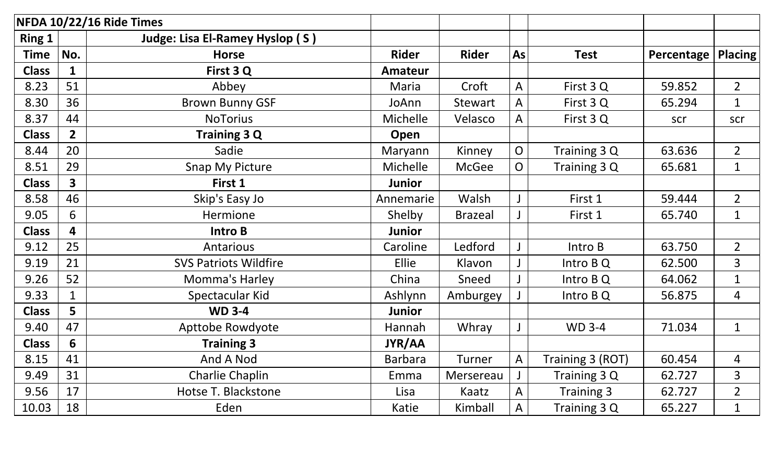|               |                | NFDA 10/22/16 Ride Times        |                |                |              |                   |            |                |
|---------------|----------------|---------------------------------|----------------|----------------|--------------|-------------------|------------|----------------|
| <b>Ring 1</b> |                | Judge: Lisa El-Ramey Hyslop (S) |                |                |              |                   |            |                |
| <b>Time</b>   | No.            | <b>Horse</b>                    | <b>Rider</b>   | <b>Rider</b>   | As           | <b>Test</b>       | Percentage | <b>Placing</b> |
| <b>Class</b>  | $\mathbf{1}$   | First 3 Q                       | Amateur        |                |              |                   |            |                |
| 8.23          | 51             | Abbey                           | Maria          | Croft          | A            | First 3 Q         | 59.852     | $\overline{2}$ |
| 8.30          | 36             | <b>Brown Bunny GSF</b>          | JoAnn          | Stewart        | A            | First 3 Q         | 65.294     | $\mathbf{1}$   |
| 8.37          | 44             | <b>NoTorius</b>                 | Michelle       | Velasco        | A            | First 3 Q         | scr        | scr            |
| <b>Class</b>  | $2^{\circ}$    | <b>Training 3 Q</b>             | Open           |                |              |                   |            |                |
| 8.44          | 20             | Sadie                           | Maryann        | Kinney         | $\mathsf{O}$ | Training 3 Q      | 63.636     | $\overline{2}$ |
| 8.51          | 29             | <b>Snap My Picture</b>          | Michelle       | <b>McGee</b>   | $\mathsf{O}$ | Training 3 Q      | 65.681     | $\mathbf{1}$   |
| <b>Class</b>  | 3 <sup>1</sup> | First 1                         | <b>Junior</b>  |                |              |                   |            |                |
| 8.58          | 46             | Skip's Easy Jo                  | Annemarie      | Walsh          |              | First 1           | 59.444     | $\overline{2}$ |
| 9.05          | 6              | Hermione                        | Shelby         | <b>Brazeal</b> |              | First 1           | 65.740     | $\mathbf{1}$   |
| <b>Class</b>  | 4              | Intro B                         | <b>Junior</b>  |                |              |                   |            |                |
| 9.12          | 25             | Antarious                       | Caroline       | Ledford        |              | Intro B           | 63.750     | $\overline{2}$ |
| 9.19          | 21             | <b>SVS Patriots Wildfire</b>    | Ellie          | Klavon         |              | Intro B Q         | 62.500     | 3              |
| 9.26          | 52             | Momma's Harley                  | China          | Sneed          |              | Intro B Q         | 64.062     | $\mathbf{1}$   |
| 9.33          | $\mathbf 1$    | Spectacular Kid                 | Ashlynn        | Amburgey       |              | Intro B Q         | 56.875     | 4              |
| <b>Class</b>  | 5              | <b>WD 3-4</b>                   | <b>Junior</b>  |                |              |                   |            |                |
| 9.40          | 47             | Apttobe Rowdyote                | Hannah         | Whray          |              | <b>WD 3-4</b>     | 71.034     | $\mathbf{1}$   |
| <b>Class</b>  | 6              | <b>Training 3</b>               | <b>JYR/AA</b>  |                |              |                   |            |                |
| 8.15          | 41             | And A Nod                       | <b>Barbara</b> | Turner         | $\mathsf{A}$ | Training 3 (ROT)  | 60.454     | 4              |
| 9.49          | 31             | Charlie Chaplin                 | Emma           | Mersereau      |              | Training 3 Q      | 62.727     | 3              |
| 9.56          | 17             | Hotse T. Blackstone             | Lisa           | Kaatz          | A            | <b>Training 3</b> | 62.727     | $\overline{2}$ |
| 10.03         | 18             | Eden                            | Katie          | Kimball        | $\mathsf{A}$ | Training 3 Q      | 65.227     | $\mathbf{1}$   |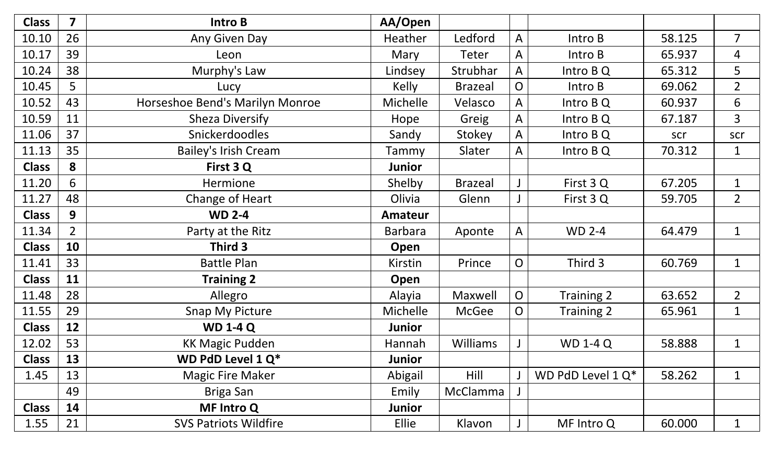| <b>Class</b> | $\overline{\mathbf{z}}$ | Intro B                         | AA/Open        |                 |                |                      |        |                |
|--------------|-------------------------|---------------------------------|----------------|-----------------|----------------|----------------------|--------|----------------|
| 10.10        | 26                      | Any Given Day                   | Heather        | Ledford         | $\mathsf{A}$   | Intro B              | 58.125 | $\overline{7}$ |
| 10.17        | 39                      | Leon                            | Mary           | Teter           | A              | Intro B              | 65.937 | 4              |
| 10.24        | 38                      | Murphy's Law                    | Lindsey        | Strubhar        | A              | Intro B Q            | 65.312 | 5              |
| 10.45        | 5                       | Lucy                            | <b>Kelly</b>   | <b>Brazeal</b>  | $\overline{O}$ | Intro B              | 69.062 | $\overline{2}$ |
| 10.52        | 43                      | Horseshoe Bend's Marilyn Monroe | Michelle       | Velasco         | A              | Intro B Q            | 60.937 | 6              |
| 10.59        | 11                      | <b>Sheza Diversify</b>          | Hope           | Greig           | $\mathsf{A}$   | Intro B Q            | 67.187 | $\overline{3}$ |
| 11.06        | 37                      | <b>Snickerdoodles</b>           | Sandy          | Stokey          | $\mathsf{A}$   | Intro B Q            | scr    | scr            |
| 11.13        | 35                      | <b>Bailey's Irish Cream</b>     | Tammy          | Slater          | A              | Intro B Q            | 70.312 | $\mathbf{1}$   |
| <b>Class</b> | 8                       | First 3 Q                       | Junior         |                 |                |                      |        |                |
| 11.20        | 6                       | Hermione                        | Shelby         | <b>Brazeal</b>  |                | First 3 Q            | 67.205 | $\mathbf{1}$   |
| 11.27        | 48                      | Change of Heart                 | Olivia         | Glenn           |                | First 3 Q            | 59.705 | $\overline{2}$ |
| <b>Class</b> | 9                       | <b>WD 2-4</b>                   | <b>Amateur</b> |                 |                |                      |        |                |
| 11.34        | $\overline{2}$          | Party at the Ritz               | Barbara        | Aponte          | $\mathsf{A}$   | <b>WD 2-4</b>        | 64.479 | $\mathbf{1}$   |
| <b>Class</b> | 10                      | Third 3                         | Open           |                 |                |                      |        |                |
| 11.41        | 33                      | <b>Battle Plan</b>              | Kirstin        | Prince          | $\mathsf{O}$   | Third 3              | 60.769 | $\mathbf{1}$   |
| <b>Class</b> | 11                      | <b>Training 2</b>               | Open           |                 |                |                      |        |                |
| 11.48        | 28                      | Allegro                         | Alayia         | Maxwell         | $\mathsf{O}$   | Training 2           | 63.652 | $\overline{2}$ |
| 11.55        | 29                      | <b>Snap My Picture</b>          | Michelle       | McGee           | $\overline{O}$ | Training 2           | 65.961 | $\mathbf{1}$   |
| <b>Class</b> | 12                      | <b>WD 1-4 Q</b>                 | Junior         |                 |                |                      |        |                |
| 12.02        | 53                      | <b>KK Magic Pudden</b>          | Hannah         | <b>Williams</b> |                | <b>WD 1-4 Q</b>      | 58.888 | $\mathbf{1}$   |
| <b>Class</b> | 13                      | WD PdD Level 1 Q*               | Junior         |                 |                |                      |        |                |
| 1.45         | 13                      | <b>Magic Fire Maker</b>         | Abigail        | Hill            |                | WD PdD Level $1 Q^*$ | 58.262 | $\mathbf 1$    |
|              | 49                      | <b>Briga San</b>                | Emily          | McClamma        |                |                      |        |                |
| <b>Class</b> | 14                      | <b>MF Intro Q</b>               | Junior         |                 |                |                      |        |                |
| 1.55         | 21                      | <b>SVS Patriots Wildfire</b>    | Ellie          | Klavon          |                | MF Intro Q           | 60.000 | $\mathbf{1}$   |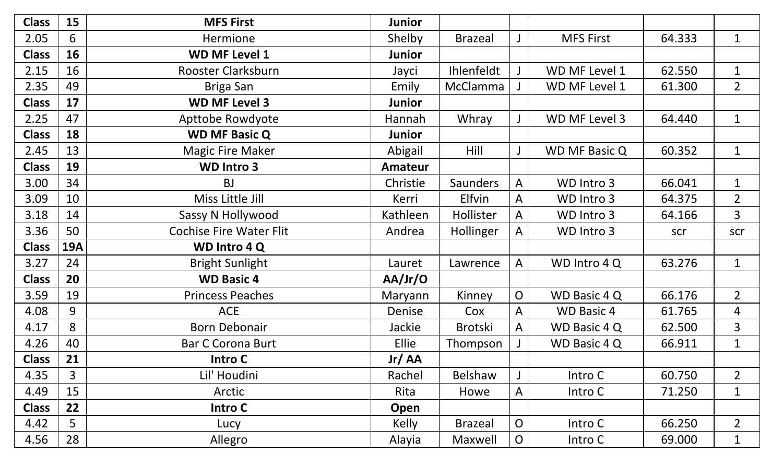| <b>Class</b> | 15         | <b>MFS First</b>               | Junior         |                 |                |                      |        |                |
|--------------|------------|--------------------------------|----------------|-----------------|----------------|----------------------|--------|----------------|
| 2.05         | 6          | Hermione                       | Shelby         | <b>Brazeal</b>  |                | <b>MFS First</b>     | 64.333 | $\mathbf{1}$   |
| <b>Class</b> | 16         | <b>WD MF Level 1</b>           | Junior         |                 |                |                      |        |                |
| 2.15         | 16         | Rooster Clarksburn             | Jayci          | Ihlenfeldt      |                | WD MF Level 1        | 62.550 | $\mathbf{1}$   |
| 2.35         | 49         | Briga San                      | Emily          | McClamma        |                | WD MF Level 1        | 61.300 | $\overline{2}$ |
| <b>Class</b> | 17         | <b>WD MF Level 3</b>           | Junior         |                 |                |                      |        |                |
| 2.25         | 47         | Apttobe Rowdyote               | Hannah         | Whray           |                | WD MF Level 3        | 64.440 | $\mathbf{1}$   |
| <b>Class</b> | 18         | <b>WD MF Basic Q</b>           | Junior         |                 |                |                      |        |                |
| 2.45         | 13         | <b>Magic Fire Maker</b>        | Abigail        | Hill            |                | <b>WD MF Basic Q</b> | 60.352 | $\mathbf{1}$   |
| <b>Class</b> | 19         | <b>WD Intro 3</b>              | <b>Amateur</b> |                 |                |                      |        |                |
| 3.00         | 34         | <b>BJ</b>                      | Christie       | <b>Saunders</b> | A              | WD Intro 3           | 66.041 | $\mathbf{1}$   |
| 3.09         | 10         | Miss Little Jill               | Kerri          | <b>Elfvin</b>   | A              | WD Intro 3           | 64.375 | $\overline{2}$ |
| 3.18         | 14         | Sassy N Hollywood              | Kathleen       | Hollister       | A              | WD Intro 3           | 64.166 | 3              |
| 3.36         | 50         | <b>Cochise Fire Water Flit</b> | Andrea         | Hollinger       | A              | WD Intro 3           | scr    | scr            |
| <b>Class</b> | <b>19A</b> | WD Intro 4 Q                   |                |                 |                |                      |        |                |
| 3.27         | 24         | <b>Bright Sunlight</b>         | Lauret         | Lawrence        | A              | WD Intro 4 Q         | 63.276 | $\mathbf{1}$   |
| <b>Class</b> | 20         | <b>WD Basic 4</b>              | AA/Jr/O        |                 |                |                      |        |                |
| 3.59         | 19         | <b>Princess Peaches</b>        | Maryann        | Kinney          | $\overline{O}$ | WD Basic 4 Q         | 66.176 | $\overline{2}$ |
| 4.08         | 9          | <b>ACE</b>                     | Denise         | Cox             | A              | <b>WD Basic 4</b>    | 61.765 | 4              |
| 4.17         | 8          | <b>Born Debonair</b>           | Jackie         | <b>Brotski</b>  | $\mathsf{A}$   | WD Basic 4 Q         | 62.500 | 3              |
| 4.26         | 40         | <b>Bar C Corona Burt</b>       | Ellie          | Thompson        |                | <b>WD Basic 4 Q</b>  | 66.911 | $\mathbf{1}$   |
| <b>Class</b> | 21         | Intro C                        | Jr/AA          |                 |                |                      |        |                |
| 4.35         | 3          | Lil' Houdini                   | Rachel         | Belshaw         |                | Intro C              | 60.750 | $\overline{2}$ |
| 4.49         | 15         | Arctic                         | Rita           | Howe            | $\mathsf{A}$   | Intro C              | 71.250 | $\mathbf{1}$   |
| <b>Class</b> | 22         | Intro C                        | Open           |                 |                |                      |        |                |
| 4.42         | 5          | Lucy                           | Kelly          | <b>Brazeal</b>  | $\overline{O}$ | Intro C              | 66.250 | $\overline{2}$ |
| 4.56         | 28         | Allegro                        | Alayia         | Maxwell         | $\overline{O}$ | Intro C              | 69.000 | $\mathbf{1}$   |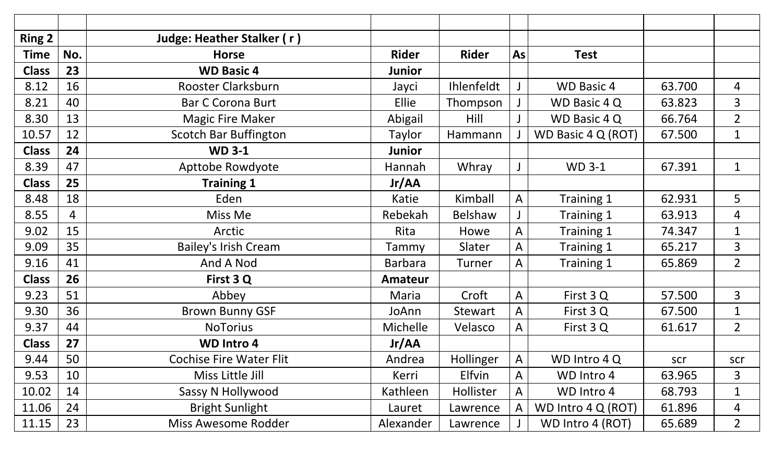| <b>Ring 2</b> |     | Judge: Heather Stalker (r)     |                |                   |              |                    |        |                |
|---------------|-----|--------------------------------|----------------|-------------------|--------------|--------------------|--------|----------------|
| <b>Time</b>   | No. | <b>Horse</b>                   | <b>Rider</b>   | <b>Rider</b>      | As           | <b>Test</b>        |        |                |
| <b>Class</b>  | 23  | <b>WD Basic 4</b>              | Junior         |                   |              |                    |        |                |
| 8.12          | 16  | Rooster Clarksburn             | Jayci          | <b>Ihlenfeldt</b> |              | <b>WD Basic 4</b>  | 63.700 | 4              |
| 8.21          | 40  | <b>Bar C Corona Burt</b>       | Ellie          | Thompson          |              | WD Basic 4 Q       | 63.823 | 3              |
| 8.30          | 13  | <b>Magic Fire Maker</b>        | Abigail        | Hill              |              | WD Basic 4 Q       | 66.764 | $\overline{2}$ |
| 10.57         | 12  | <b>Scotch Bar Buffington</b>   | Taylor         | Hammann           |              | WD Basic 4 Q (ROT) | 67.500 | $\mathbf{1}$   |
| <b>Class</b>  | 24  | <b>WD 3-1</b>                  | <b>Junior</b>  |                   |              |                    |        |                |
| 8.39          | 47  | Apttobe Rowdyote               | Hannah         | Whray             |              | <b>WD 3-1</b>      | 67.391 | $\mathbf{1}$   |
| <b>Class</b>  | 25  | <b>Training 1</b>              | Jr/AA          |                   |              |                    |        |                |
| 8.48          | 18  | Eden                           | Katie          | Kimball           | $\mathsf{A}$ | Training 1         | 62.931 | 5              |
| 8.55          | 4   | Miss Me                        | Rebekah        | <b>Belshaw</b>    |              | Training 1         | 63.913 | 4              |
| 9.02          | 15  | Arctic                         | Rita           | Howe              | $\mathsf{A}$ | Training 1         | 74.347 | $\mathbf{1}$   |
| 9.09          | 35  | <b>Bailey's Irish Cream</b>    | Tammy          | Slater            | A            | Training 1         | 65.217 | 3              |
| 9.16          | 41  | And A Nod                      | <b>Barbara</b> | <b>Turner</b>     | A            | Training 1         | 65.869 | $\overline{2}$ |
| <b>Class</b>  | 26  | First 3 Q                      | Amateur        |                   |              |                    |        |                |
| 9.23          | 51  | Abbey                          | Maria          | Croft             | $\mathsf{A}$ | First 3 Q          | 57.500 | 3              |
| 9.30          | 36  | <b>Brown Bunny GSF</b>         | JoAnn          | Stewart           | $\mathsf{A}$ | First 3 Q          | 67.500 | $\mathbf{1}$   |
| 9.37          | 44  | <b>NoTorius</b>                | Michelle       | Velasco           | A            | First 3 Q          | 61.617 | $\overline{2}$ |
| <b>Class</b>  | 27  | <b>WD Intro 4</b>              | Jr/AA          |                   |              |                    |        |                |
| 9.44          | 50  | <b>Cochise Fire Water Flit</b> | Andrea         | Hollinger         | $\mathsf{A}$ | WD Intro 4 Q       | scr    | scr            |
| 9.53          | 10  | Miss Little Jill               | Kerri          | <b>Elfvin</b>     | $\mathsf{A}$ | WD Intro 4         | 63.965 | 3              |
| 10.02         | 14  | Sassy N Hollywood              | Kathleen       | Hollister         | A            | WD Intro 4         | 68.793 | $\mathbf 1$    |
| 11.06         | 24  | <b>Bright Sunlight</b>         | Lauret         | Lawrence          | A            | WD Intro 4 Q (ROT) | 61.896 | 4              |
| 11.15         | 23  | <b>Miss Awesome Rodder</b>     | Alexander      | Lawrence          |              | WD Intro 4 (ROT)   | 65.689 | $\overline{2}$ |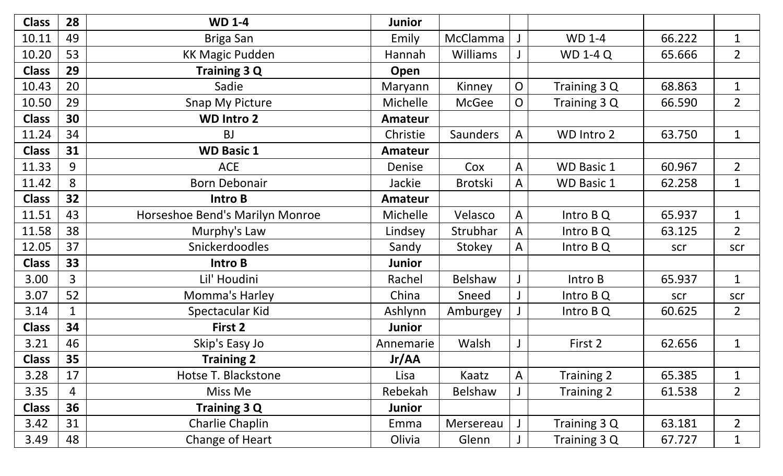| <b>Class</b> | 28             | <b>WD 1-4</b>                   | Junior        |                 |                |                   |        |                |
|--------------|----------------|---------------------------------|---------------|-----------------|----------------|-------------------|--------|----------------|
| 10.11        | 49             | <b>Briga San</b>                | Emily         | McClamma        |                | <b>WD 1-4</b>     | 66.222 | $\mathbf{1}$   |
| 10.20        | 53             | <b>KK Magic Pudden</b>          | Hannah        | <b>Williams</b> |                | <b>WD 1-4 Q</b>   | 65.666 | $\overline{2}$ |
| <b>Class</b> | 29             | Training 3 Q                    | Open          |                 |                |                   |        |                |
| 10.43        | 20             | Sadie                           | Maryann       | Kinney          | $\overline{O}$ | Training 3 Q      | 68.863 | $\mathbf{1}$   |
| 10.50        | 29             | <b>Snap My Picture</b>          | Michelle      | McGee           | $\overline{O}$ | Training 3 Q      | 66.590 | $\overline{2}$ |
| <b>Class</b> | 30             | <b>WD Intro 2</b>               | Amateur       |                 |                |                   |        |                |
| 11.24        | 34             | <b>BJ</b>                       | Christie      | <b>Saunders</b> | A              | WD Intro 2        | 63.750 | $\mathbf{1}$   |
| <b>Class</b> | 31             | <b>WD Basic 1</b>               | Amateur       |                 |                |                   |        |                |
| 11.33        | 9              | <b>ACE</b>                      | Denise        | Cox             | $\mathsf{A}$   | <b>WD Basic 1</b> | 60.967 | $\overline{2}$ |
| 11.42        | 8              | <b>Born Debonair</b>            | Jackie        | <b>Brotski</b>  | A              | <b>WD Basic 1</b> | 62.258 | $\mathbf{1}$   |
| <b>Class</b> | 32             | Intro B                         | Amateur       |                 |                |                   |        |                |
| 11.51        | 43             | Horseshoe Bend's Marilyn Monroe | Michelle      | Velasco         | $\mathsf{A}$   | Intro B Q         | 65.937 | $\mathbf{1}$   |
| 11.58        | 38             | Murphy's Law                    | Lindsey       | Strubhar        | $\mathsf{A}$   | Intro $BQ$        | 63.125 | $\overline{2}$ |
| 12.05        | 37             | Snickerdoodles                  | Sandy         | Stokey          | $\mathsf{A}$   | Intro $BQ$        | scr    | scr            |
| <b>Class</b> | 33             | Intro B                         | Junior        |                 |                |                   |        |                |
| 3.00         | $\overline{3}$ | Lil' Houdini                    | Rachel        | <b>Belshaw</b>  |                | Intro B           | 65.937 | $\mathbf{1}$   |
| 3.07         | 52             | Momma's Harley                  | China         | Sneed           |                | Intro $BQ$        | scr    | scr            |
| 3.14         |                | Spectacular Kid                 | Ashlynn       | Amburgey        |                | Intro $BQ$        | 60.625 | $\overline{2}$ |
| <b>Class</b> | 34             | First 2                         | <b>Junior</b> |                 |                |                   |        |                |
| 3.21         | 46             | Skip's Easy Jo                  | Annemarie     | Walsh           |                | First 2           | 62.656 | $\mathbf{1}$   |
| <b>Class</b> | 35             | <b>Training 2</b>               | Jr/AA         |                 |                |                   |        |                |
| 3.28         | 17             | Hotse T. Blackstone             | Lisa          | Kaatz           | A              | Training 2        | 65.385 | $\mathbf{1}$   |
| 3.35         | $\overline{4}$ | Miss Me                         | Rebekah       | <b>Belshaw</b>  |                | Training 2        | 61.538 | $\overline{2}$ |
| <b>Class</b> | 36             | Training 3 Q                    | Junior        |                 |                |                   |        |                |
| 3.42         | 31             | Charlie Chaplin                 | Emma          | Mersereau       |                | Training 3 Q      | 63.181 | $\overline{2}$ |
| 3.49         | 48             | Change of Heart                 | Olivia        | Glenn           |                | Training 3 Q      | 67.727 | $\mathbf{1}$   |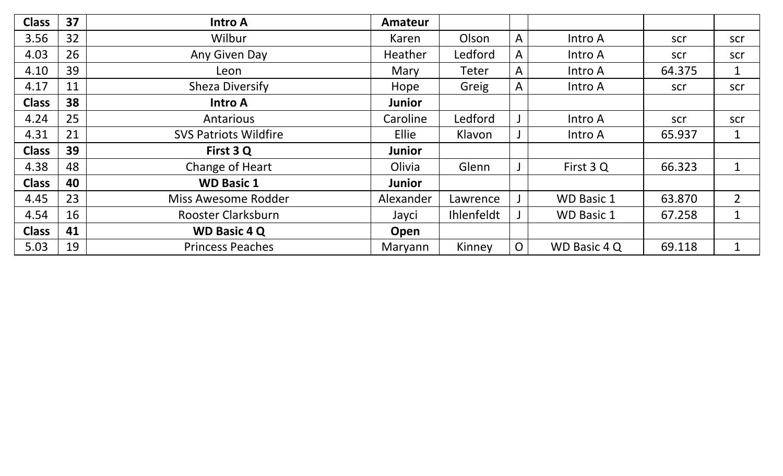| <b>Class</b> | 37 | <b>Intro A</b>               | <b>Amateur</b> |            |                |                     |        |                |
|--------------|----|------------------------------|----------------|------------|----------------|---------------------|--------|----------------|
| 3.56         | 32 | Wilbur                       | Karen          | Olson      | $\mathsf{A}$   | Intro A             | scr    | scr            |
| 4.03         | 26 | Any Given Day                | <b>Heather</b> | Ledford    | $\mathsf{A}$   | Intro A             | scr    | scr            |
| 4.10         | 39 | Leon                         | Mary           | Teter      | $\mathsf{A}$   | Intro A             | 64.375 | $\mathbf{1}$   |
| 4.17         | 11 | <b>Sheza Diversify</b>       | Hope           | Greig      | $\mathsf{A}$   | Intro A             | scr    | scr            |
| <b>Class</b> | 38 | <b>Intro A</b>               | <b>Junior</b>  |            |                |                     |        |                |
| 4.24         | 25 | Antarious                    | Caroline       | Ledford    |                | Intro A             | scr    | scr            |
| 4.31         | 21 | <b>SVS Patriots Wildfire</b> | Ellie          | Klavon     |                | Intro A             | 65.937 | $\mathbf{1}$   |
| <b>Class</b> | 39 | First 3 Q                    | <b>Junior</b>  |            |                |                     |        |                |
| 4.38         | 48 | Change of Heart              | Olivia         | Glenn      |                | First 3 Q           | 66.323 | $\mathbf 1$    |
| <b>Class</b> | 40 | <b>WD Basic 1</b>            | <b>Junior</b>  |            |                |                     |        |                |
| 4.45         | 23 | Miss Awesome Rodder          | Alexander      | Lawrence   |                | <b>WD Basic 1</b>   | 63.870 | $\overline{2}$ |
| 4.54         | 16 | Rooster Clarksburn           | Jayci          | Ihlenfeldt |                | <b>WD Basic 1</b>   | 67.258 | $\mathbf{1}$   |
| <b>Class</b> | 41 | <b>WD Basic 4 Q</b>          | Open           |            |                |                     |        |                |
| 5.03         | 19 | <b>Princess Peaches</b>      | Maryann        | Kinney     | $\overline{O}$ | <b>WD Basic 4 Q</b> | 69.118 | $\mathbf{1}$   |